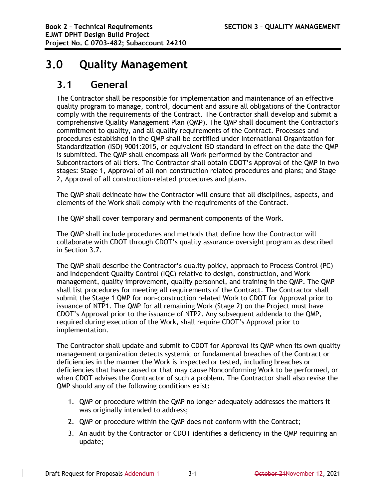# **3.0 Quality Management**

## **3.1 General**

The Contractor shall be responsible for implementation and maintenance of an effective quality program to manage, control, document and assure all obligations of the Contractor comply with the requirements of the Contract. The Contractor shall develop and submit a comprehensive Quality Management Plan (QMP). The QMP shall document the Contractor's commitment to quality, and all quality requirements of the Contract. Processes and procedures established in the QMP shall be certified under International Organization for Standardization (ISO) 9001:2015, or equivalent ISO standard in effect on the date the QMP is submitted. The QMP shall encompass all Work performed by the Contractor and Subcontractors of all tiers. The Contractor shall obtain CDOT's Approval of the QMP in two stages: Stage 1, Approval of all non-construction related procedures and plans; and Stage 2, Approval of all construction-related procedures and plans.

The QMP shall delineate how the Contractor will ensure that all disciplines, aspects, and elements of the Work shall comply with the requirements of the Contract.

The QMP shall cover temporary and permanent components of the Work.

The QMP shall include procedures and methods that define how the Contractor will collaborate with CDOT through CDOT's quality assurance oversight program as described in Section 3.7.

The QMP shall describe the Contractor's quality policy, approach to Process Control (PC) and Independent Quality Control (IQC) relative to design, construction, and Work management, quality improvement, quality personnel, and training in the QMP. The QMP shall list procedures for meeting all requirements of the Contract. The Contractor shall submit the Stage 1 QMP for non-construction related Work to CDOT for Approval prior to issuance of NTP1. The QMP for all remaining Work (Stage 2) on the Project must have CDOT's Approval prior to the issuance of NTP2. Any subsequent addenda to the QMP, required during execution of the Work, shall require CDOT's Approval prior to implementation.

The Contractor shall update and submit to CDOT for Approval its QMP when its own quality management organization detects systemic or fundamental breaches of the Contract or deficiencies in the manner the Work is inspected or tested, including breaches or deficiencies that have caused or that may cause Nonconforming Work to be performed, or when CDOT advises the Contractor of such a problem. The Contractor shall also revise the QMP should any of the following conditions exist:

- 1. QMP or procedure within the QMP no longer adequately addresses the matters it was originally intended to address;
- 2. QMP or procedure within the QMP does not conform with the Contract;
- 3. An audit by the Contractor or CDOT identifies a deficiency in the QMP requiring an update;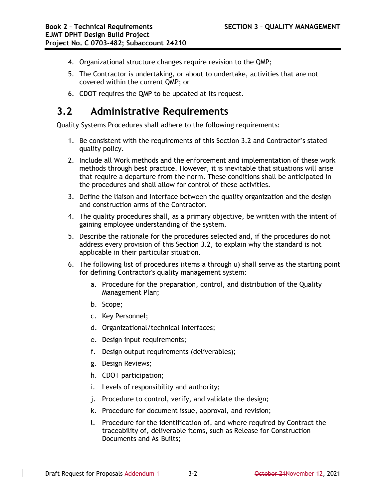- 4. Organizational structure changes require revision to the QMP;
- 5. The Contractor is undertaking, or about to undertake, activities that are not covered within the current QMP; or
- 6. CDOT requires the QMP to be updated at its request.

# **3.2 Administrative Requirements**

Quality Systems Procedures shall adhere to the following requirements:

- 1. Be consistent with the requirements of this Section 3.2 and Contractor's stated quality policy.
- 2. Include all Work methods and the enforcement and implementation of these work methods through best practice. However, it is inevitable that situations will arise that require a departure from the norm. These conditions shall be anticipated in the procedures and shall allow for control of these activities.
- 3. Define the liaison and interface between the quality organization and the design and construction arms of the Contractor.
- 4. The quality procedures shall, as a primary objective, be written with the intent of gaining employee understanding of the system.
- 5. Describe the rationale for the procedures selected and, if the procedures do not address every provision of this Section 3.2, to explain why the standard is not applicable in their particular situation.
- 6. The following list of procedures (items a through u) shall serve as the starting point for defining Contractor's quality management system:
	- a. Procedure for the preparation, control, and distribution of the Quality Management Plan;
	- b. Scope;
	- c. Key Personnel;
	- d. Organizational/technical interfaces;
	- e. Design input requirements;
	- f. Design output requirements (deliverables);
	- g. Design Reviews;
	- h. CDOT participation;
	- i. Levels of responsibility and authority;
	- j. Procedure to control, verify, and validate the design;
	- k. Procedure for document issue, approval, and revision;
	- l. Procedure for the identification of, and where required by Contract the traceability of, deliverable items, such as Release for Construction Documents and As-Builts;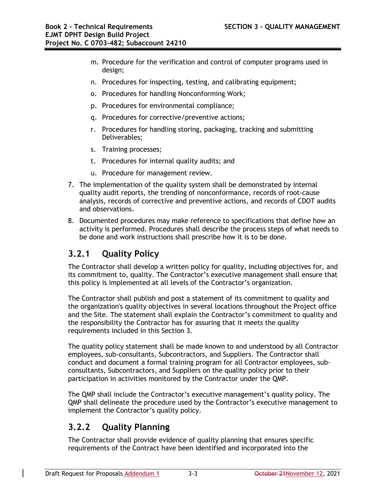- m. Procedure for the verification and control of computer programs used in design;
- n. Procedures for inspecting, testing, and calibrating equipment;
- o. Procedures for handling Nonconforming Work;
- p. Procedures for environmental compliance;
- q. Procedures for corrective/preventive actions;
- r. Procedures for handling storing, packaging, tracking and submitting Deliverables;
- s. Training processes;
- t. Procedures for internal quality audits; and
- u. Procedure for management review.
- 7. The implementation of the quality system shall be demonstrated by internal quality audit reports, the trending of nonconformance, records of root-cause analysis, records of corrective and preventive actions, and records of CDOT audits and observations.
- 8. Documented procedures may make reference to specifications that define how an activity is performed. Procedures shall describe the process steps of what needs to be done and work instructions shall prescribe how it is to be done.

### **3.2.1 Quality Policy**

The Contractor shall develop a written policy for quality, including objectives for, and its commitment to, quality. The Contractor's executive management shall ensure that this policy is implemented at all levels of the Contractor's organization.

The Contractor shall publish and post a statement of its commitment to quality and the organization's quality objectives in several locations throughout the Project office and the Site. The statement shall explain the Contractor's commitment to quality and the responsibility the Contractor has for assuring that it meets the quality requirements included in this Section 3.

The quality policy statement shall be made known to and understood by all Contractor employees, sub-consultants, Subcontractors, and Suppliers. The Contractor shall conduct and document a formal training program for all Contractor employees, subconsultants, Subcontractors, and Suppliers on the quality policy prior to their participation in activities monitored by the Contractor under the QMP.

The QMP shall include the Contractor's executive management's quality policy. The QMP shall delineate the procedure used by the Contractor's executive management to implement the Contractor's quality policy.

### **3.2.2 Quality Planning**

The Contractor shall provide evidence of quality planning that ensures specific requirements of the Contract have been identified and incorporated into the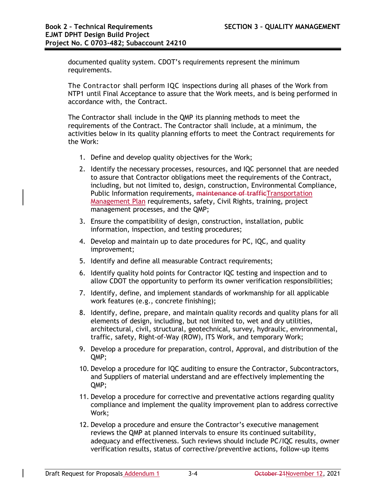documented quality system. CDOT's requirements represent the minimum requirements.

The Contractor shall perform IQC inspections during all phases of the Work from NTP1 until Final Acceptance to assure that the Work meets, and is being performed in accordance with, the Contract.

The Contractor shall include in the QMP its planning methods to meet the requirements of the Contract. The Contractor shall include, at a minimum, the activities below in its quality planning efforts to meet the Contract requirements for the Work:

- 1. Define and develop quality objectives for the Work;
- 2. Identify the necessary processes, resources, and IQC personnel that are needed to assure that Contractor obligations meet the requirements of the Contract, including, but not limited to, design, construction, Environmental Compliance, Public Information requirements, maintenance of trafficTransportation Management Plan requirements, safety, Civil Rights, training, project management processes, and the QMP;
- 3. Ensure the compatibility of design, construction, installation, public information, inspection, and testing procedures;
- 4. Develop and maintain up to date procedures for PC, IQC, and quality improvement;
- 5. Identify and define all measurable Contract requirements;
- 6. Identify quality hold points for Contractor IQC testing and inspection and to allow CDOT the opportunity to perform its owner verification responsibilities;
- 7. Identify, define, and implement standards of workmanship for all applicable work features (e.g., concrete finishing);
- 8. Identify, define, prepare, and maintain quality records and quality plans for all elements of design, including, but not limited to, wet and dry utilities, architectural, civil, structural, geotechnical, survey, hydraulic, environmental, traffic, safety, Right-of-Way (ROW), ITS Work, and temporary Work;
- 9. Develop a procedure for preparation, control, Approval, and distribution of the QMP;
- 10. Develop a procedure for IQC auditing to ensure the Contractor, Subcontractors, and Suppliers of material understand and are effectively implementing the QMP;
- 11. Develop a procedure for corrective and preventative actions regarding quality compliance and implement the quality improvement plan to address corrective Work;
- 12. Develop a procedure and ensure the Contractor's executive management reviews the QMP at planned intervals to ensure its continued suitability, adequacy and effectiveness. Such reviews should include PC/IQC results, owner verification results, status of corrective/preventive actions, follow-up items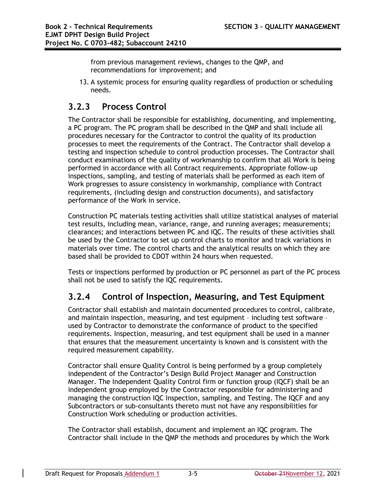from previous management reviews, changes to the QMP, and recommendations for improvement; and

13. A systemic process for ensuring quality regardless of production or scheduling needs.

## **3.2.3 Process Control**

The Contractor shall be responsible for establishing, documenting, and implementing, a PC program. The PC program shall be described in the QMP and shall include all procedures necessary for the Contractor to control the quality of its production processes to meet the requirements of the Contract. The Contractor shall develop a testing and inspection schedule to control production processes. The Contractor shall conduct examinations of the quality of workmanship to confirm that all Work is being performed in accordance with all Contract requirements. Appropriate follow-up inspections, sampling, and testing of materials shall be performed as each item of Work progresses to assure consistency in workmanship, compliance with Contract requirements, (including design and construction documents), and satisfactory performance of the Work in service.

Construction PC materials testing activities shall utilize statistical analyses of material test results, including mean, variance, range, and running averages; measurements; clearances; and interactions between PC and IQC. The results of these activities shall be used by the Contractor to set up control charts to monitor and track variations in materials over time. The control charts and the analytical results on which they are based shall be provided to CDOT within 24 hours when requested.

Tests or inspections performed by production or PC personnel as part of the PC process shall not be used to satisfy the IQC requirements.

### **3.2.4 Control of Inspection, Measuring, and Test Equipment**

Contractor shall establish and maintain documented procedures to control, calibrate, and maintain inspection, measuring, and test equipment – including test software – used by Contractor to demonstrate the conformance of product to the specified requirements. Inspection, measuring, and test equipment shall be used in a manner that ensures that the measurement uncertainty is known and is consistent with the required measurement capability.

Contractor shall ensure Quality Control is being performed by a group completely independent of the Contractor's Design Build Project Manager and Construction Manager. The Independent Quality Control firm or function group (IQCF) shall be an independent group employed by the Contractor responsible for administering and managing the construction IQC Inspection, sampling, and Testing. The IQCF and any Subcontractors or sub-consultants thereto must not have any responsibilities for Construction Work scheduling or production activities.

The Contractor shall establish, document and implement an IQC program. The Contractor shall include in the QMP the methods and procedures by which the Work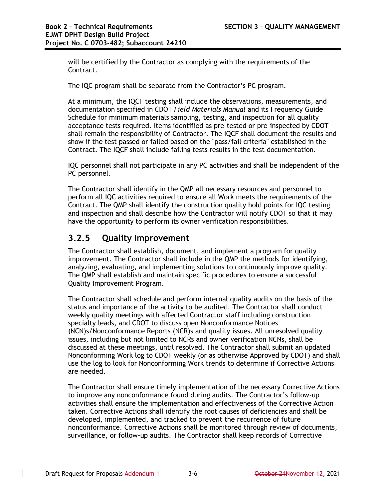will be certified by the Contractor as complying with the requirements of the Contract.

The IQC program shall be separate from the Contractor's PC program.

At a minimum, the IQCF testing shall include the observations, measurements, and documentation specified in CDOT *Field Materials Manual* and its Frequency Guide Schedule for minimum materials sampling, testing, and inspection for all quality acceptance tests required. Items identified as pre-tested or pre-inspected by CDOT shall remain the responsibility of Contractor. The IQCF shall document the results and show if the test passed or failed based on the "pass/fail criteria" established in the Contract. The IQCF shall include failing tests results in the test documentation.

IQC personnel shall not participate in any PC activities and shall be independent of the PC personnel.

The Contractor shall identify in the QMP all necessary resources and personnel to perform all IQC activities required to ensure all Work meets the requirements of the Contract. The QMP shall identify the construction quality hold points for IQC testing and inspection and shall describe how the Contractor will notify CDOT so that it may have the opportunity to perform its owner verification responsibilities.

### **3.2.5 Quality Improvement**

The Contractor shall establish, document, and implement a program for quality improvement. The Contractor shall include in the QMP the methods for identifying, analyzing, evaluating, and implementing solutions to continuously improve quality. The QMP shall establish and maintain specific procedures to ensure a successful Quality Improvement Program.

The Contractor shall schedule and perform internal quality audits on the basis of the status and importance of the activity to be audited. The Contractor shall conduct weekly quality meetings with affected Contractor staff including construction specialty leads, and CDOT to discuss open Nonconformance Notices (NCN)s/Nonconformance Reports (NCR)s and quality issues. All unresolved quality issues, including but not limited to NCRs and owner verification NCNs, shall be discussed at these meetings, until resolved. The Contractor shall submit an updated Nonconforming Work log to CDOT weekly (or as otherwise Approved by CDOT) and shall use the log to look for Nonconforming Work trends to determine if Corrective Actions are needed.

The Contractor shall ensure timely implementation of the necessary Corrective Actions to improve any nonconformance found during audits. The Contractor's follow-up activities shall ensure the implementation and effectiveness of the Corrective Action taken. Corrective Actions shall identify the root causes of deficiencies and shall be developed, implemented, and tracked to prevent the recurrence of future nonconformance. Corrective Actions shall be monitored through review of documents, surveillance, or follow-up audits. The Contractor shall keep records of Corrective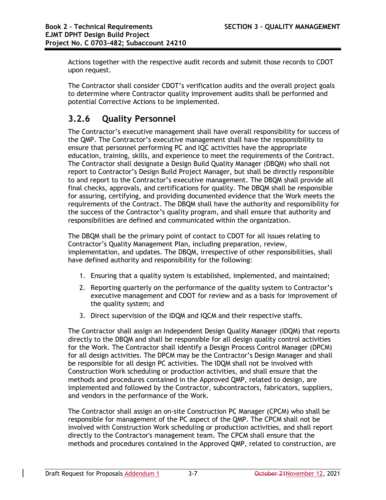Actions together with the respective audit records and submit those records to CDOT upon request.

The Contractor shall consider CDOT's verification audits and the overall project goals to determine where Contractor quality improvement audits shall be performed and potential Corrective Actions to be implemented.

## **3.2.6 Quality Personnel**

The Contractor's executive management shall have overall responsibility for success of the QMP. The Contractor's executive management shall have the responsibility to ensure that personnel performing PC and IQC activities have the appropriate education, training, skills, and experience to meet the requirements of the Contract. The Contractor shall designate a Design Build Quality Manager (DBQM) who shall not report to Contractor's Design Build Project Manager, but shall be directly responsible to and report to the Contractor's executive management. The DBQM shall provide all final checks, approvals, and certifications for quality. The DBQM shall be responsible for assuring, certifying, and providing documented evidence that the Work meets the requirements of the Contract. The DBQM shall have the authority and responsibility for the success of the Contractor's quality program, and shall ensure that authority and responsibilities are defined and communicated within the organization.

The DBQM shall be the primary point of contact to CDOT for all issues relating to Contractor's Quality Management Plan, including preparation, review, implementation, and updates. The DBQM, irrespective of other responsibilities, shall have defined authority and responsibility for the following:

- 1. Ensuring that a quality system is established, implemented, and maintained;
- 2. Reporting quarterly on the performance of the quality system to Contractor's executive management and CDOT for review and as a basis for improvement of the quality system; and
- 3. Direct supervision of the IDQM and IQCM and their respective staffs.

The Contractor shall assign an Independent Design Quality Manager (IDQM) that reports directly to the DBQM and shall be responsible for all design quality control activities for the Work. The Contractor shall identify a Design Process Control Manager (DPCM) for all design activities. The DPCM may be the Contractor's Design Manager and shall be responsible for all design PC activities. The IDQM shall not be involved with Construction Work scheduling or production activities, and shall ensure that the methods and procedures contained in the Approved QMP, related to design, are implemented and followed by the Contractor, subcontractors, fabricators, suppliers, and vendors in the performance of the Work.

The Contractor shall assign an on-site Construction PC Manager (CPCM) who shall be responsible for management of the PC aspect of the QMP. The CPCM shall not be involved with Construction Work scheduling or production activities, and shall report directly to the Contractor's management team. The CPCM shall ensure that the methods and procedures contained in the Approved QMP, related to construction, are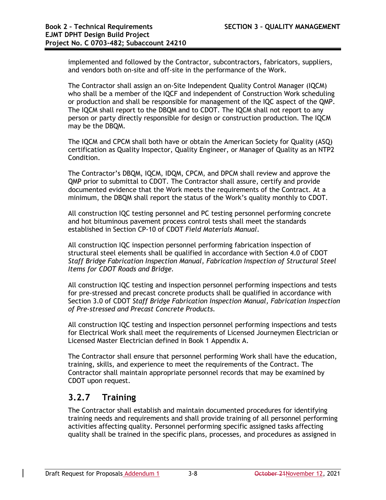implemented and followed by the Contractor, subcontractors, fabricators, suppliers, and vendors both on-site and off-site in the performance of the Work.

The Contractor shall assign an on-Site Independent Quality Control Manager (IQCM) who shall be a member of the IQCF and independent of Construction Work scheduling or production and shall be responsible for management of the IQC aspect of the QMP. The IQCM shall report to the DBQM and to CDOT. The IQCM shall not report to any person or party directly responsible for design or construction production. The IQCM may be the DBQM.

The IQCM and CPCM shall both have or obtain the American Society for Quality (ASQ) certification as Quality Inspector, Quality Engineer, or Manager of Quality as an NTP2 Condition.

The Contractor's DBQM, IQCM, IDQM, CPCM, and DPCM shall review and approve the QMP prior to submittal to CDOT. The Contractor shall assure, certify and provide documented evidence that the Work meets the requirements of the Contract. At a minimum, the DBQM shall report the status of the Work's quality monthly to CDOT.

All construction IQC testing personnel and PC testing personnel performing concrete and hot bituminous pavement process control tests shall meet the standards established in Section CP-10 of CDOT *Field Materials Manual*.

All construction IQC inspection personnel performing fabrication inspection of structural steel elements shall be qualified in accordance with Section 4.0 of CDOT *Staff Bridge Fabrication Inspection Manual, Fabrication Inspection of Structural Steel Items for CDOT Roads and Bridge.*

All construction IQC testing and inspection personnel performing inspections and tests for pre-stressed and precast concrete products shall be qualified in accordance with Section 3.0 of CDOT *Staff Bridge Fabrication Inspection Manual, Fabrication Inspection of Pre-stressed and Precast Concrete Products.*

All construction IQC testing and inspection personnel performing inspections and tests for Electrical Work shall meet the requirements of Licensed Journeymen Electrician or Licensed Master Electrician defined in Book 1 Appendix A.

The Contractor shall ensure that personnel performing Work shall have the education, training, skills, and experience to meet the requirements of the Contract. The Contractor shall maintain appropriate personnel records that may be examined by CDOT upon request.

### **3.2.7 Training**

The Contractor shall establish and maintain documented procedures for identifying training needs and requirements and shall provide training of all personnel performing activities affecting quality. Personnel performing specific assigned tasks affecting quality shall be trained in the specific plans, processes, and procedures as assigned in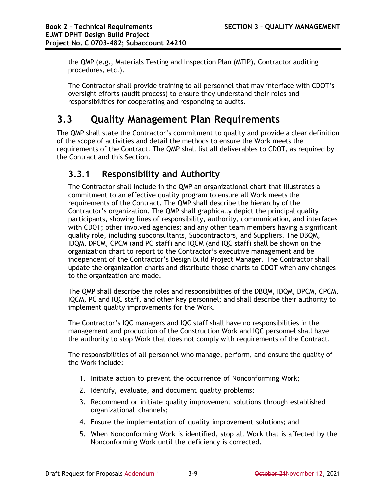the QMP (e.g., Materials Testing and Inspection Plan (MTIP), Contractor auditing procedures, etc.).

The Contractor shall provide training to all personnel that may interface with CDOT's oversight efforts (audit process) to ensure they understand their roles and responsibilities for cooperating and responding to audits.

# **3.3 Quality Management Plan Requirements**

The QMP shall state the Contractor's commitment to quality and provide a clear definition of the scope of activities and detail the methods to ensure the Work meets the requirements of the Contract. The QMP shall list all deliverables to CDOT, as required by the Contract and this Section.

## **3.3.1 Responsibility and Authority**

The Contractor shall include in the QMP an organizational chart that illustrates a commitment to an effective quality program to ensure all Work meets the requirements of the Contract. The QMP shall describe the hierarchy of the Contractor's organization. The QMP shall graphically depict the principal quality participants, showing lines of responsibility, authority, communication, and interfaces with CDOT; other involved agencies; and any other team members having a significant quality role, including subconsultants, Subcontractors, and Suppliers. The DBQM, IDQM, DPCM, CPCM (and PC staff) and IQCM (and IQC staff) shall be shown on the organization chart to report to the Contractor's executive management and be independent of the Contractor's Design Build Project Manager. The Contractor shall update the organization charts and distribute those charts to CDOT when any changes to the organization are made.

The QMP shall describe the roles and responsibilities of the DBQM, IDQM, DPCM, CPCM, IQCM, PC and IQC staff, and other key personnel; and shall describe their authority to implement quality improvements for the Work.

The Contractor's IQC managers and IQC staff shall have no responsibilities in the management and production of the Construction Work and IQC personnel shall have the authority to stop Work that does not comply with requirements of the Contract.

The responsibilities of all personnel who manage, perform, and ensure the quality of the Work include:

- 1. Initiate action to prevent the occurrence of Nonconforming Work;
- 2. Identify, evaluate, and document quality problems;
- 3. Recommend or initiate quality improvement solutions through established organizational channels;
- 4. Ensure the implementation of quality improvement solutions; and
- 5. When Nonconforming Work is identified, stop all Work that is affected by the Nonconforming Work until the deficiency is corrected.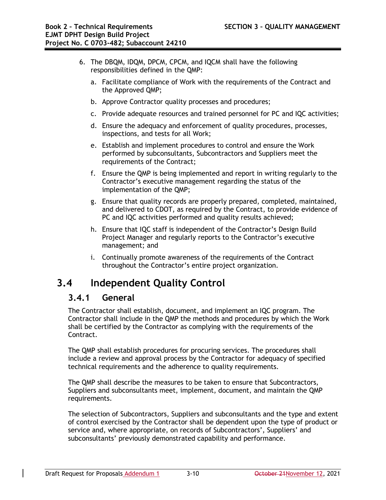- 6. The DBQM, IDQM, DPCM, CPCM, and IQCM shall have the following responsibilities defined in the QMP:
	- a. Facilitate compliance of Work with the requirements of the Contract and the Approved QMP;
	- b. Approve Contractor quality processes and procedures;
	- c. Provide adequate resources and trained personnel for PC and IQC activities;
	- d. Ensure the adequacy and enforcement of quality procedures, processes, inspections, and tests for all Work;
	- e. Establish and implement procedures to control and ensure the Work performed by subconsultants, Subcontractors and Suppliers meet the requirements of the Contract;
	- f. Ensure the QMP is being implemented and report in writing regularly to the Contractor's executive management regarding the status of the implementation of the QMP;
	- g. Ensure that quality records are properly prepared, completed, maintained, and delivered to CDOT, as required by the Contract, to provide evidence of PC and IQC activities performed and quality results achieved;
	- h. Ensure that IQC staff is independent of the Contractor's Design Build Project Manager and regularly reports to the Contractor's executive management; and
	- i. Continually promote awareness of the requirements of the Contract throughout the Contractor's entire project organization.

# **3.4 Independent Quality Control**

### **3.4.1 General**

The Contractor shall establish, document, and implement an IQC program. The Contractor shall include in the QMP the methods and procedures by which the Work shall be certified by the Contractor as complying with the requirements of the Contract.

The QMP shall establish procedures for procuring services. The procedures shall include a review and approval process by the Contractor for adequacy of specified technical requirements and the adherence to quality requirements.

The QMP shall describe the measures to be taken to ensure that Subcontractors, Suppliers and subconsultants meet, implement, document, and maintain the QMP requirements.

The selection of Subcontractors, Suppliers and subconsultants and the type and extent of control exercised by the Contractor shall be dependent upon the type of product or service and, where appropriate, on records of Subcontractors', Suppliers' and subconsultants' previously demonstrated capability and performance.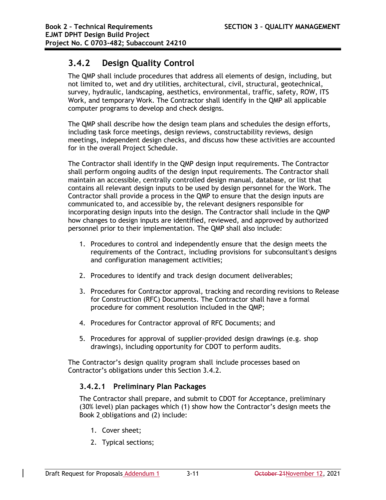### **3.4.2 Design Quality Control**

The QMP shall include procedures that address all elements of design, including, but not limited to, wet and dry utilities, architectural, civil, structural, geotechnical, survey, hydraulic, landscaping, aesthetics, environmental, traffic, safety, ROW, ITS Work, and temporary Work. The Contractor shall identify in the QMP all applicable computer programs to develop and check designs.

The QMP shall describe how the design team plans and schedules the design efforts, including task force meetings, design reviews, constructability reviews, design meetings, independent design checks, and discuss how these activities are accounted for in the overall Project Schedule.

The Contractor shall identify in the QMP design input requirements. The Contractor shall perform ongoing audits of the design input requirements. The Contractor shall maintain an accessible, centrally controlled design manual, database, or list that contains all relevant design inputs to be used by design personnel for the Work. The Contractor shall provide a process in the QMP to ensure that the design inputs are communicated to, and accessible by, the relevant designers responsible for incorporating design inputs into the design. The Contractor shall include in the QMP how changes to design inputs are identified, reviewed, and approved by authorized personnel prior to their implementation. The QMP shall also include:

- 1. Procedures to control and independently ensure that the design meets the requirements of the Contract, including provisions for subconsultant's designs and configuration management activities;
- 2. Procedures to identify and track design document deliverables;
- 3. Procedures for Contractor approval, tracking and recording revisions to Release for Construction (RFC) Documents. The Contractor shall have a formal procedure for comment resolution included in the QMP;
- 4. Procedures for Contractor approval of RFC Documents; and
- 5. Procedures for approval of supplier-provided design drawings (e.g. shop drawings), including opportunity for CDOT to perform audits.

The Contractor's design quality program shall include processes based on Contractor's obligations under this Section 3.4.2.

### **3.4.2.1 Preliminary Plan Packages**

The Contractor shall prepare, and submit to CDOT for Acceptance, preliminary (30% level) plan packages which (1) show how the Contractor's design meets the Book 2 obligations and (2) include:

- 1. Cover sheet;
- 2. Typical sections;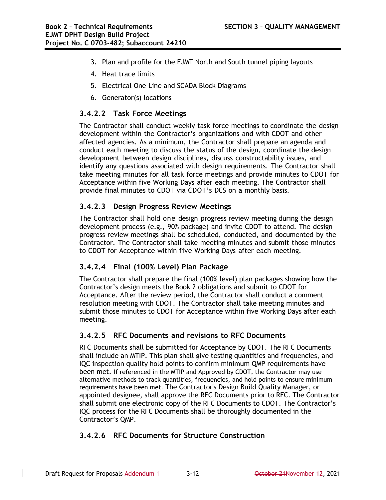- 3. Plan and profile for the EJMT North and South tunnel piping layouts
- 4. Heat trace limits
- 5. Electrical One-Line and SCADA Block Diagrams
- 6. Generator(s) locations

### **3.4.2.2 Task Force Meetings**

The Contractor shall conduct weekly task force meetings to coordinate the design development within the Contractor's organizations and with CDOT and other affected agencies. As a minimum, the Contractor shall prepare an agenda and conduct each meeting to discuss the status of the design, coordinate the design development between design disciplines, discuss constructability issues, and identify any questions associated with design requirements. The Contractor shall take meeting minutes for all task force meetings and provide minutes to CDOT for Acceptance within five Working Days after each meeting. The Contractor shall provide final minutes to CDOT via CDOT's DCS on a monthly basis.

#### **3.4.2.3 Design Progress Review Meetings**

The Contractor shall hold one design progress review meeting during the design development process (e.g., 90% package) and invite CDOT to attend. The design progress review meetings shall be scheduled, conducted, and documented by the Contractor. The Contractor shall take meeting minutes and submit those minutes to CDOT for Acceptance within five Working Days after each meeting.

### **3.4.2.4 Final (100% Level) Plan Package**

The Contractor shall prepare the final (100% level) plan packages showing how the Contractor's design meets the Book 2 obligations and submit to CDOT for Acceptance. After the review period, the Contractor shall conduct a comment resolution meeting with CDOT. The Contractor shall take meeting minutes and submit those minutes to CDOT for Acceptance within five Working Days after each meeting.

### **3.4.2.5 RFC Documents and revisions to RFC Documents**

RFC Documents shall be submitted for Acceptance by CDOT. The RFC Documents shall include an MTIP. This plan shall give testing quantities and frequencies, and IQC inspection quality hold points to confirm minimum QMP requirements have been met. If referenced in the MTIP and Approved by CDOT, the Contractor may use alternative methods to track quantities, frequencies, and hold points to ensure minimum requirements have been met. The Contractor's Design Build Quality Manager, or appointed designee, shall approve the RFC Documents prior to RFC. The Contractor shall submit one electronic copy of the RFC Documents to CDOT. The Contractor's IQC process for the RFC Documents shall be thoroughly documented in the Contractor's QMP.

### **3.4.2.6 RFC Documents for Structure Construction**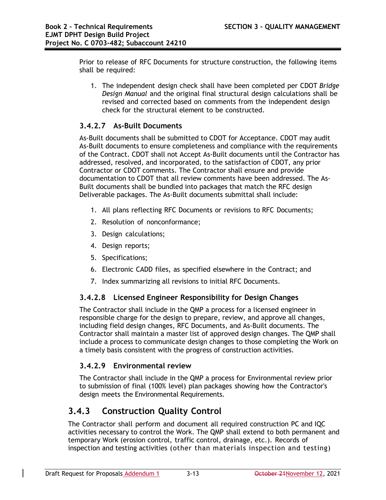Prior to release of RFC Documents for structure construction, the following items shall be required:

1. The independent design check shall have been completed per CDOT *Bridge Design Manual* and the original final structural design calculations shall be revised and corrected based on comments from the independent design check for the structural element to be constructed.

### **3.4.2.7 As-Built Documents**

As-Built documents shall be submitted to CDOT for Acceptance. CDOT may audit As-Built documents to ensure completeness and compliance with the requirements of the Contract. CDOT shall not Accept As-Built documents until the Contractor has addressed, resolved, and incorporated, to the satisfaction of CDOT, any prior Contractor or CDOT comments. The Contractor shall ensure and provide documentation to CDOT that all review comments have been addressed. The As-Built documents shall be bundled into packages that match the RFC design Deliverable packages. The As-Built documents submittal shall include:

- 1. All plans reflecting RFC Documents or revisions to RFC Documents;
- 2. Resolution of nonconformance;
- 3. Design calculations;
- 4. Design reports;
- 5. Specifications;
- 6. Electronic CADD files, as specified elsewhere in the Contract; and
- 7. Index summarizing all revisions to initial RFC Documents.

### **3.4.2.8 Licensed Engineer Responsibility for Design Changes**

The Contractor shall include in the QMP a process for a licensed engineer in responsible charge for the design to prepare, review, and approve all changes, including field design changes, RFC Documents, and As-Built documents. The Contractor shall maintain a master list of approved design changes. The QMP shall include a process to communicate design changes to those completing the Work on a timely basis consistent with the progress of construction activities.

### **3.4.2.9 Environmental review**

The Contractor shall include in the QMP a process for Environmental review prior to submission of final (100% level) plan packages showing how the Contractor's design meets the Environmental Requirements.

### **3.4.3 Construction Quality Control**

The Contractor shall perform and document all required construction PC and IQC activities necessary to control the Work. The QMP shall extend to both permanent and temporary Work (erosion control, traffic control, drainage, etc.). Records of inspection and testing activities (other than materials inspection and testing)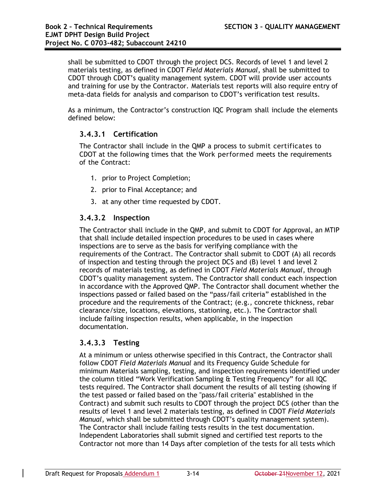shall be submitted to CDOT through the project DCS. Records of level 1 and level 2 materials testing, as defined in CDOT *Field Materials Manual*, shall be submitted to CDOT through CDOT's quality management system. CDOT will provide user accounts and training for use by the Contractor. Materials test reports will also require entry of meta-data fields for analysis and comparison to CDOT's verification test results.

As a minimum, the Contractor's construction IQC Program shall include the elements defined below:

### **3.4.3.1 Certification**

The Contractor shall include in the QMP a process to submit certificates to CDOT at the following times that the Work performed meets the requirements of the Contract:

- 1. prior to Project Completion;
- 2. prior to Final Acceptance; and
- 3. at any other time requested by CDOT.

#### **3.4.3.2 Inspection**

The Contractor shall include in the QMP, and submit to CDOT for Approval, an MTIP that shall include detailed inspection procedures to be used in cases where inspections are to serve as the basis for verifying compliance with the requirements of the Contract. The Contractor shall submit to CDOT (A) all records of inspection and testing through the project DCS and (B) level 1 and level 2 records of materials testing, as defined in CDOT *Field Materials Manual*, through CDOT's quality management system. The Contractor shall conduct each inspection in accordance with the Approved QMP. The Contractor shall document whether the inspections passed or failed based on the "pass/fail criteria" established in the procedure and the requirements of the Contract; (e.g., concrete thickness, rebar clearance/size, locations, elevations, stationing, etc.). The Contractor shall include failing inspection results, when applicable, in the inspection documentation.

### **3.4.3.3 Testing**

At a minimum or unless otherwise specified in this Contract, the Contractor shall follow CDOT *Field Materials Manual* and its Frequency Guide Schedule for minimum Materials sampling, testing, and inspection requirements identified under the column titled "Work Verification Sampling & Testing Frequency" for all IQC tests required. The Contractor shall document the results of all testing (showing if the test passed or failed based on the "pass/fail criteria" established in the Contract) and submit such results to CDOT through the project DCS (other than the results of level 1 and level 2 materials testing, as defined in CDOT *Field Materials Manual*, which shall be submitted through CDOT's quality management system). The Contractor shall include failing tests results in the test documentation. Independent Laboratories shall submit signed and certified test reports to the Contractor not more than 14 Days after completion of the tests for all tests which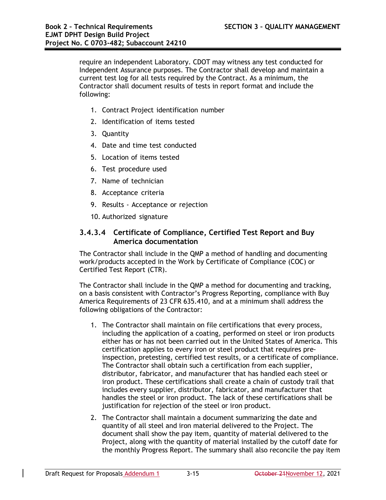require an independent Laboratory. CDOT may witness any test conducted for Independent Assurance purposes. The Contractor shall develop and maintain a current test log for all tests required by the Contract. As a minimum, the Contractor shall document results of tests in report format and include the following:

- 1. Contract Project identification number
- 2. Identification of items tested
- 3. Quantity
- 4. Date and time test conducted
- 5. Location of items tested
- 6. Test procedure used
- 7. Name of technician
- 8. Acceptance criteria
- 9. Results Acceptance or rejection
- 10. Authorized signature

### **3.4.3.4 Certificate of Compliance, Certified Test Report and Buy America documentation**

The Contractor shall include in the QMP a method of handling and documenting work/products accepted in the Work by Certificate of Compliance (COC) or Certified Test Report (CTR).

The Contractor shall include in the QMP a method for documenting and tracking, on a basis consistent with Contractor's Progress Reporting, compliance with Buy America Requirements of 23 CFR 635.410, and at a minimum shall address the following obligations of the Contractor:

- 1. The Contractor shall maintain on file certifications that every process, including the application of a coating, performed on steel or iron products either has or has not been carried out in the United States of America. This certification applies to every iron or steel product that requires preinspection, pretesting, certified test results, or a certificate of compliance. The Contractor shall obtain such a certification from each supplier, distributor, fabricator, and manufacturer that has handled each steel or iron product. These certifications shall create a chain of custody trail that includes every supplier, distributor, fabricator, and manufacturer that handles the steel or iron product. The lack of these certifications shall be justification for rejection of the steel or iron product.
- 2. The Contractor shall maintain a document summarizing the date and quantity of all steel and iron material delivered to the Project. The document shall show the pay item, quantity of material delivered to the Project, along with the quantity of material installed by the cutoff date for the monthly Progress Report. The summary shall also reconcile the pay item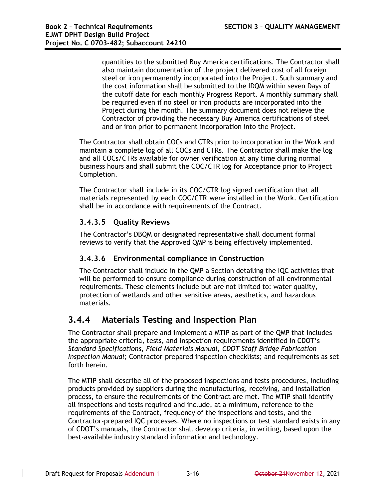quantities to the submitted Buy America certifications. The Contractor shall also maintain documentation of the project delivered cost of all foreign steel or iron permanently incorporated into the Project. Such summary and the cost information shall be submitted to the IDQM within seven Days of the cutoff date for each monthly Progress Report. A monthly summary shall be required even if no steel or iron products are incorporated into the Project during the month. The summary document does not relieve the Contractor of providing the necessary Buy America certifications of steel and or iron prior to permanent incorporation into the Project.

The Contractor shall obtain COCs and CTRs prior to incorporation in the Work and maintain a complete log of all COCs and CTRs. The Contractor shall make the log and all COCs/CTRs available for owner verification at any time during normal business hours and shall submit the COC/CTR log for Acceptance prior to Project Completion.

The Contractor shall include in its COC/CTR log signed certification that all materials represented by each COC/CTR were installed in the Work. Certification shall be in accordance with requirements of the Contract.

### **3.4.3.5 Quality Reviews**

The Contractor's DBQM or designated representative shall document formal reviews to verify that the Approved QMP is being effectively implemented.

### **3.4.3.6 Environmental compliance in Construction**

The Contractor shall include in the QMP a Section detailing the IQC activities that will be performed to ensure compliance during construction of all environmental requirements. These elements include but are not limited to: water quality, protection of wetlands and other sensitive areas, aesthetics, and hazardous materials.

### **3.4.4 Materials Testing and Inspection Plan**

The Contractor shall prepare and implement a MTIP as part of the QMP that includes the appropriate criteria, tests, and inspection requirements identified in CDOT's *Standard Specifications*, *Field Materials Manual, CDOT Staff Bridge Fabrication Inspection Manual*; Contractor-prepared inspection checklists; and requirements as set forth herein.

The MTIP shall describe all of the proposed inspections and tests procedures, including products provided by suppliers during the manufacturing, receiving, and installation process, to ensure the requirements of the Contract are met. The MTIP shall identify all inspections and tests required and include, at a minimum, reference to the requirements of the Contract, frequency of the inspections and tests, and the Contractor-prepared IQC processes. Where no inspections or test standard exists in any of CDOT's manuals, the Contractor shall develop criteria, in writing, based upon the best-available industry standard information and technology.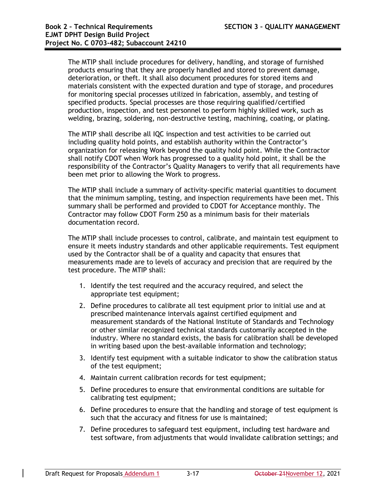The MTIP shall include procedures for delivery, handling, and storage of furnished products ensuring that they are properly handled and stored to prevent damage, deterioration, or theft. It shall also document procedures for stored items and materials consistent with the expected duration and type of storage, and procedures for monitoring special processes utilized in fabrication, assembly, and testing of specified products. Special processes are those requiring qualified/certified production, inspection, and test personnel to perform highly skilled work, such as welding, brazing, soldering, non-destructive testing, machining, coating, or plating.

The MTIP shall describe all IQC inspection and test activities to be carried out including quality hold points, and establish authority within the Contractor's organization for releasing Work beyond the quality hold point. While the Contractor shall notify CDOT when Work has progressed to a quality hold point, it shall be the responsibility of the Contractor's Quality Managers to verify that all requirements have been met prior to allowing the Work to progress.

The MTIP shall include a summary of activity-specific material quantities to document that the minimum sampling, testing, and inspection requirements have been met. This summary shall be performed and provided to CDOT for Acceptance monthly. The Contractor may follow CDOT Form 250 as a minimum basis for their materials documentation record.

The MTIP shall include processes to control, calibrate, and maintain test equipment to ensure it meets industry standards and other applicable requirements. Test equipment used by the Contractor shall be of a quality and capacity that ensures that measurements made are to levels of accuracy and precision that are required by the test procedure. The MTIP shall:

- 1. Identify the test required and the accuracy required, and select the appropriate test equipment;
- 2. Define procedures to calibrate all test equipment prior to initial use and at prescribed maintenance intervals against certified equipment and measurement standards of the National Institute of Standards and Technology or other similar recognized technical standards customarily accepted in the industry. Where no standard exists, the basis for calibration shall be developed in writing based upon the best-available information and technology;
- 3. Identify test equipment with a suitable indicator to show the calibration status of the test equipment;
- 4. Maintain current calibration records for test equipment;
- 5. Define procedures to ensure that environmental conditions are suitable for calibrating test equipment;
- 6. Define procedures to ensure that the handling and storage of test equipment is such that the accuracy and fitness for use is maintained;
- 7. Define procedures to safeguard test equipment, including test hardware and test software, from adjustments that would invalidate calibration settings; and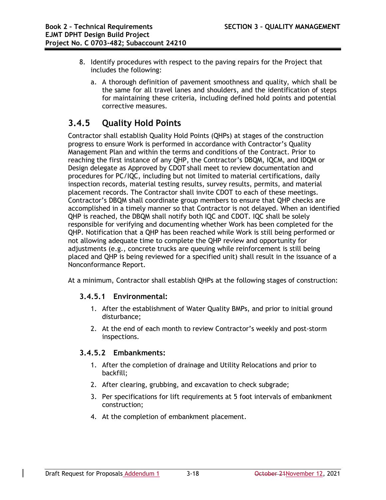- 8. Identify procedures with respect to the paving repairs for the Project that includes the following:
	- a. A thorough definition of pavement smoothness and quality, which shall be the same for all travel lanes and shoulders, and the identification of steps for maintaining these criteria, including defined hold points and potential corrective measures.

### **3.4.5 Quality Hold Points**

Contractor shall establish Quality Hold Points (QHPs) at stages of the construction progress to ensure Work is performed in accordance with Contractor's Quality Management Plan and within the terms and conditions of the Contract. Prior to reaching the first instance of any QHP, the Contractor's DBQM, IQCM, and IDQM or Design delegate as Approved by CDOT shall meet to review documentation and procedures for PC/IQC, including but not limited to material certifications, daily inspection records, material testing results, survey results, permits, and material placement records. The Contractor shall invite CDOT to each of these meetings. Contractor's DBQM shall coordinate group members to ensure that QHP checks are accomplished in a timely manner so that Contractor is not delayed. When an identified QHP is reached, the DBQM shall notify both IQC and CDOT. IQC shall be solely responsible for verifying and documenting whether Work has been completed for the QHP. Notification that a QHP has been reached while Work is still being performed or not allowing adequate time to complete the QHP review and opportunity for adjustments (e.g., concrete trucks are queuing while reinforcement is still being placed and QHP is being reviewed for a specified unit) shall result in the issuance of a Nonconformance Report.

At a minimum, Contractor shall establish QHPs at the following stages of construction:

### **3.4.5.1 Environmental:**

- 1. After the establishment of Water Quality BMPs, and prior to initial ground disturbance;
- 2. At the end of each month to review Contractor's weekly and post-storm inspections.

### **3.4.5.2 Embankments:**

- 1. After the completion of drainage and Utility Relocations and prior to backfill;
- 2. After clearing, grubbing, and excavation to check subgrade;
- 3. Per specifications for lift requirements at 5 foot intervals of embankment construction;
- 4. At the completion of embankment placement.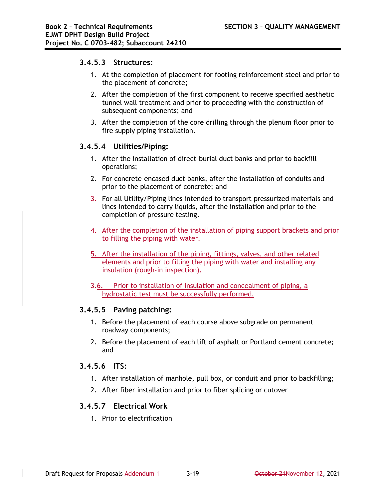#### **3.4.5.3 Structures:**

- 1. At the completion of placement for footing reinforcement steel and prior to the placement of concrete;
- 2. After the completion of the first component to receive specified aesthetic tunnel wall treatment and prior to proceeding with the construction of subsequent components; and
- 3. After the completion of the core drilling through the plenum floor prior to fire supply piping installation.

#### **3.4.5.4 Utilities/Piping:**

- 1. After the installation of direct-burial duct banks and prior to backfill operations;
- 2. For concrete-encased duct banks, after the installation of conduits and prior to the placement of concrete; and
- 3. For all Utility/Piping lines intended to transport pressurized materials and lines intended to carry liquids, after the installation and prior to the completion of pressure testing.
- 4. After the completion of the installation of piping support brackets and prior to filling the piping with water.
- 5. After the installation of the piping, fittings, valves, and other related elements and prior to filling the piping with water and installing any insulation (rough-in inspection).
- 3.6. Prior to installation of insulation and concealment of piping, a hydrostatic test must be successfully performed.

### **3.4.5.5 Paving patching:**

- 1. Before the placement of each course above subgrade on permanent roadway components;
- 2. Before the placement of each lift of asphalt or Portland cement concrete; and

#### **3.4.5.6 ITS:**

- 1. After installation of manhole, pull box, or conduit and prior to backfilling;
- 2. After fiber installation and prior to fiber splicing or cutover

### **3.4.5.7 Electrical Work**

1. Prior to electrification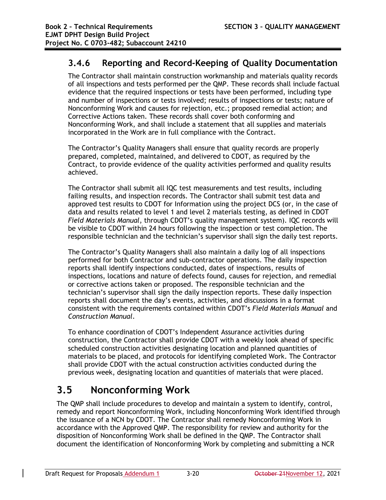### **3.4.6 Reporting and Record-Keeping of Quality Documentation**

The Contractor shall maintain construction workmanship and materials quality records of all inspections and tests performed per the QMP. These records shall include factual evidence that the required inspections or tests have been performed, including type and number of inspections or tests involved; results of inspections or tests; nature of Nonconforming Work and causes for rejection, etc.; proposed remedial action; and Corrective Actions taken. These records shall cover both conforming and Nonconforming Work, and shall include a statement that all supplies and materials incorporated in the Work are in full compliance with the Contract.

The Contractor's Quality Managers shall ensure that quality records are properly prepared, completed, maintained, and delivered to CDOT, as required by the Contract, to provide evidence of the quality activities performed and quality results achieved.

The Contractor shall submit all IQC test measurements and test results, including failing results, and inspection records. The Contractor shall submit test data and approved test results to CDOT for Information using the project DCS (or, in the case of data and results related to level 1 and level 2 materials testing, as defined in CDOT *Field Materials Manual*, through CDOT's quality management system). IQC records will be visible to CDOT within 24 hours following the inspection or test completion. The responsible technician and the technician's supervisor shall sign the daily test reports.

The Contractor's Quality Managers shall also maintain a daily log of all inspections performed for both Contractor and sub-contractor operations. The daily inspection reports shall identify inspections conducted, dates of inspections, results of inspections, locations and nature of defects found, causes for rejection, and remedial or corrective actions taken or proposed. The responsible technician and the technician's supervisor shall sign the daily inspection reports. These daily inspection reports shall document the day's events, activities, and discussions in a format consistent with the requirements contained within CDOT's *Field Materials Manual* and *Construction Manual*.

To enhance coordination of CDOT's Independent Assurance activities during construction, the Contractor shall provide CDOT with a weekly look ahead of specific scheduled construction activities designating location and planned quantities of materials to be placed, and protocols for identifying completed Work. The Contractor shall provide CDOT with the actual construction activities conducted during the previous week, designating location and quantities of materials that were placed.

# **3.5 Nonconforming Work**

The QMP shall include procedures to develop and maintain a system to identify, control, remedy and report Nonconforming Work, including Nonconforming Work identified through the issuance of a NCN by CDOT. The Contractor shall remedy Nonconforming Work in accordance with the Approved QMP. The responsibility for review and authority for the disposition of Nonconforming Work shall be defined in the QMP. The Contractor shall document the identification of Nonconforming Work by completing and submitting a NCR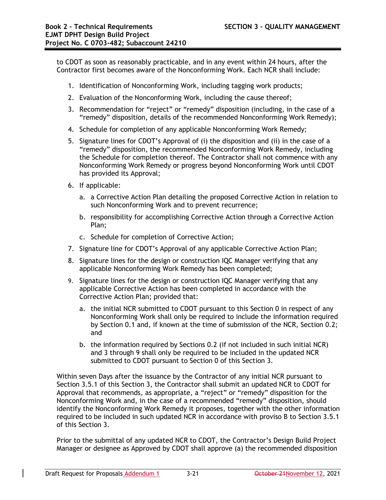to CDOT as soon as reasonably practicable, and in any event within 24 hours, after the Contractor first becomes aware of the Nonconforming Work. Each NCR shall include:

- 1. Identification of Nonconforming Work, including tagging work products;
- 2. Evaluation of the Nonconforming Work, including the cause thereof;
- 3. Recommendation for "reject" or "remedy" disposition (including, in the case of a "remedy" disposition, details of the recommended Nonconforming Work Remedy);
- 4. Schedule for completion of any applicable Nonconforming Work Remedy;
- 5. Signature lines for CDOT's Approval of (i) the disposition and (ii) in the case of a "remedy" disposition, the recommended Nonconforming Work Remedy, including the Schedule for completion thereof. The Contractor shall not commence with any Nonconforming Work Remedy or progress beyond Nonconforming Work until CDOT has provided its Approval;
- 6. If applicable:
	- a. a Corrective Action Plan detailing the proposed Corrective Action in relation to such Nonconforming Work and to prevent recurrence;
	- b. responsibility for accomplishing Corrective Action through a Corrective Action Plan;
	- c. Schedule for completion of Corrective Action;
- 7. Signature line for CDOT's Approval of any applicable Corrective Action Plan;
- 8. Signature lines for the design or construction IQC Manager verifying that any applicable Nonconforming Work Remedy has been completed;
- 9. Signature lines for the design or construction IQC Manager verifying that any applicable Corrective Action has been completed in accordance with the Corrective Action Plan; provided that:
	- a. the initial NCR submitted to CDOT pursuant to this Section 0 in respect of any Nonconforming Work shall only be required to include the information required by Section 0.1 and, if known at the time of submission of the NCR, Section 0.2; and
	- b. the information required by Sections 0.2 (if not included in such initial NCR) and 3 through 9 shall only be required to be included in the updated NCR submitted to CDOT pursuant to Section 0 of this Section 3.

Within seven Days after the issuance by the Contractor of any initial NCR pursuant to Section 3.5.1 of this Section 3, the Contractor shall submit an updated NCR to CDOT for Approval that recommends, as appropriate, a "reject" or "remedy" disposition for the Nonconforming Work and, in the case of a recommended "remedy" disposition, should identify the Nonconforming Work Remedy it proposes, together with the other information required to be included in such updated NCR in accordance with proviso B to Section 3.5.1 of this Section 3.

Prior to the submittal of any updated NCR to CDOT, the Contractor's Design Build Project Manager or designee as Approved by CDOT shall approve (a) the recommended disposition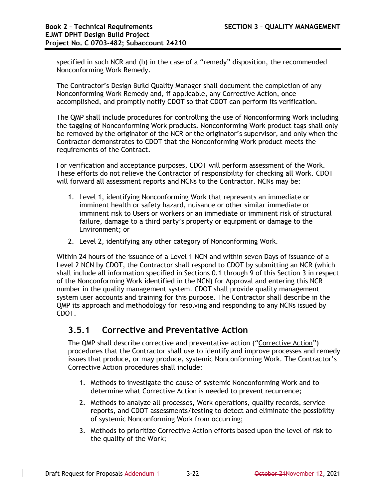specified in such NCR and (b) in the case of a "remedy" disposition, the recommended Nonconforming Work Remedy.

The Contractor's Design Build Quality Manager shall document the completion of any Nonconforming Work Remedy and, if applicable, any Corrective Action, once accomplished, and promptly notify CDOT so that CDOT can perform its verification.

The QMP shall include procedures for controlling the use of Nonconforming Work including the tagging of Nonconforming Work products. Nonconforming Work product tags shall only be removed by the originator of the NCR or the originator's supervisor, and only when the Contractor demonstrates to CDOT that the Nonconforming Work product meets the requirements of the Contract.

For verification and acceptance purposes, CDOT will perform assessment of the Work. These efforts do not relieve the Contractor of responsibility for checking all Work. CDOT will forward all assessment reports and NCNs to the Contractor. NCNs may be:

- 1. Level 1, identifying Nonconforming Work that represents an immediate or imminent health or safety hazard, nuisance or other similar immediate or imminent risk to Users or workers or an immediate or imminent risk of structural failure, damage to a third party's property or equipment or damage to the Environment; or
- 2. Level 2, identifying any other category of Nonconforming Work.

Within 24 hours of the issuance of a Level 1 NCN and within seven Days of issuance of a Level 2 NCN by CDOT, the Contractor shall respond to CDOT by submitting an NCR (which shall include all information specified in Sections 0.1 through 9 of this Section 3 in respect of the Nonconforming Work identified in the NCN) for Approval and entering this NCR number in the quality management system. CDOT shall provide quality management system user accounts and training for this purpose. The Contractor shall describe in the QMP its approach and methodology for resolving and responding to any NCNs issued by CDOT.

### **3.5.1 Corrective and Preventative Action**

The QMP shall describe corrective and preventative action ("Corrective Action") procedures that the Contractor shall use to identify and improve processes and remedy issues that produce, or may produce, systemic Nonconforming Work. The Contractor's Corrective Action procedures shall include:

- 1. Methods to investigate the cause of systemic Nonconforming Work and to determine what Corrective Action is needed to prevent recurrence;
- 2. Methods to analyze all processes, Work operations, quality records, service reports, and CDOT assessments/testing to detect and eliminate the possibility of systemic Nonconforming Work from occurring;
- 3. Methods to prioritize Corrective Action efforts based upon the level of risk to the quality of the Work;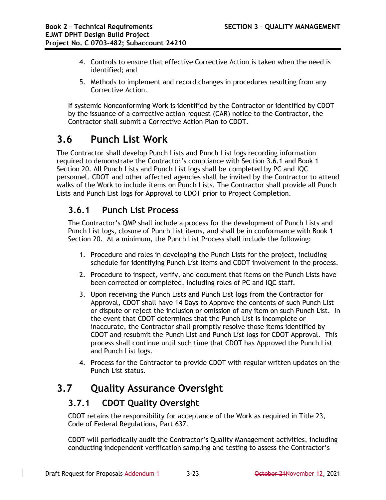- 4. Controls to ensure that effective Corrective Action is taken when the need is identified; and
- 5. Methods to implement and record changes in procedures resulting from any Corrective Action.

If systemic Nonconforming Work is identified by the Contractor or identified by CDOT by the issuance of a corrective action request (CAR) notice to the Contractor, the Contractor shall submit a Corrective Action Plan to CDOT.

# **3.6 Punch List Work**

The Contractor shall develop Punch Lists and Punch List logs recording information required to demonstrate the Contractor's compliance with Section 3.6.1 and Book 1 Section 20. All Punch Lists and Punch List logs shall be completed by PC and IQC personnel. CDOT and other affected agencies shall be invited by the Contractor to attend walks of the Work to include items on Punch Lists. The Contractor shall provide all Punch Lists and Punch List logs for Approval to CDOT prior to Project Completion.

### **3.6.1 Punch List Process**

The Contractor's QMP shall include a process for the development of Punch Lists and Punch List logs, closure of Punch List items, and shall be in conformance with Book 1 Section 20. At a minimum, the Punch List Process shall include the following:

- 1. Procedure and roles in developing the Punch Lists for the project, including schedule for identifying Punch List items and CDOT involvement in the process.
- 2. Procedure to inspect, verify, and document that items on the Punch Lists have been corrected or completed, including roles of PC and IQC staff.
- 3. Upon receiving the Punch Lists and Punch List logs from the Contractor for Approval, CDOT shall have 14 Days to Approve the contents of such Punch List or dispute or reject the inclusion or omission of any item on such Punch List. In the event that CDOT determines that the Punch List is incomplete or inaccurate, the Contractor shall promptly resolve those items identified by CDOT and resubmit the Punch List and Punch List logs for CDOT Approval. This process shall continue until such time that CDOT has Approved the Punch List and Punch List logs.
- 4. Process for the Contractor to provide CDOT with regular written updates on the Punch List status.

# **3.7 Quality Assurance Oversight**

### **3.7.1 CDOT Quality Oversight**

CDOT retains the responsibility for acceptance of the Work as required in Title 23, Code of Federal Regulations, Part 637.

CDOT will periodically audit the Contractor's Quality Management activities, including conducting independent verification sampling and testing to assess the Contractor's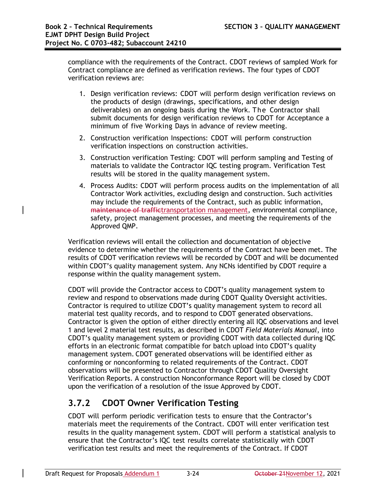compliance with the requirements of the Contract. CDOT reviews of sampled Work for Contract compliance are defined as verification reviews. The four types of CDOT verification reviews are:

- 1. Design verification reviews: CDOT will perform design verification reviews on the products of design (drawings, specifications, and other design deliverables) on an ongoing basis during the Work. The Contractor shall submit documents for design verification reviews to CDOT for Acceptance a minimum of five Working Days in advance of review meeting.
- 2. Construction verification Inspections: CDOT will perform construction verification inspections on construction activities.
- 3. Construction verification Testing: CDOT will perform sampling and Testing of materials to validate the Contractor IQC testing program. Verification Test results will be stored in the quality management system.
- 4. Process Audits: CDOT will perform process audits on the implementation of all Contractor Work activities, excluding design and construction. Such activities may include the requirements of the Contract, such as public information, maintenance of traffictransportation management, environmental compliance, safety, project management processes, and meeting the requirements of the Approved QMP.

Verification reviews will entail the collection and documentation of objective evidence to determine whether the requirements of the Contract have been met. The results of CDOT verification reviews will be recorded by CDOT and will be documented within CDOT's quality management system. Any NCNs identified by CDOT require a response within the quality management system.

CDOT will provide the Contractor access to CDOT's quality management system to review and respond to observations made during CDOT Quality Oversight activities. Contractor is required to utilize CDOT's quality management system to record all material test quality records, and to respond to CDOT generated observations. Contractor is given the option of either directly entering all IQC observations and level 1 and level 2 material test results, as described in CDOT *Field Materials Manual*, into CDOT's quality management system or providing CDOT with data collected during IQC efforts in an electronic format compatible for batch upload into CDOT's quality management system. CDOT generated observations will be identified either as conforming or nonconforming to related requirements of the Contract. CDOT observations will be presented to Contractor through CDOT Quality Oversight Verification Reports. A construction Nonconformance Report will be closed by CDOT upon the verification of a resolution of the issue Approved by CDOT.

## **3.7.2 CDOT Owner Verification Testing**

CDOT will perform periodic verification tests to ensure that the Contractor's materials meet the requirements of the Contract. CDOT will enter verification test results in the quality management system. CDOT will perform a statistical analysis to ensure that the Contractor's IQC test results correlate statistically with CDOT verification test results and meet the requirements of the Contract. If CDOT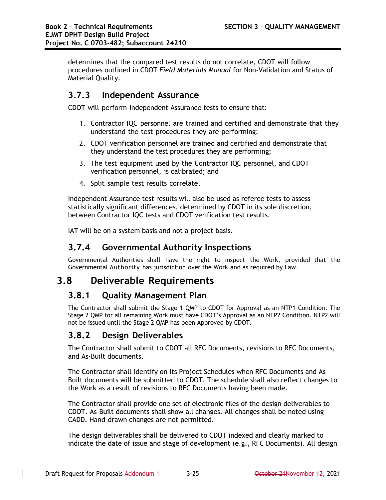determines that the compared test results do not correlate, CDOT will follow procedures outlined in CDOT *Field Materials Manual* for Non-Validation and Status of Material Quality.

### **3.7.3 Independent Assurance**

CDOT will perform Independent Assurance tests to ensure that:

- 1. Contractor IQC personnel are trained and certified and demonstrate that they understand the test procedures they are performing;
- 2. CDOT verification personnel are trained and certified and demonstrate that they understand the test procedures they are performing;
- 3. The test equipment used by the Contractor IQC personnel, and CDOT verification personnel, is calibrated; and
- 4. Split sample test results correlate.

Independent Assurance test results will also be used as referee tests to assess statistically significant differences, determined by CDOT in its sole discretion, between Contractor IQC tests and CDOT verification test results.

IAT will be on a system basis and not a project basis.

### **3.7.4 Governmental Authority Inspections**

Governmental Authorities shall have the right to inspect the Work, provided that the Governmental Authority has jurisdiction over the Work and as required by Law.

## **3.8 Deliverable Requirements**

### **3.8.1 Quality Management Plan**

The Contractor shall submit the Stage 1 QMP to CDOT for Approval as an NTP1 Condition. The Stage 2 QMP for all remaining Work must have CDOT's Approval as an NTP2 Condition. NTP2 will not be issued until the Stage 2 QMP has been Approved by CDOT.

### **3.8.2 Design Deliverables**

The Contractor shall submit to CDOT all RFC Documents, revisions to RFC Documents, and As-Built documents.

The Contractor shall identify on its Project Schedules when RFC Documents and As-Built documents will be submitted to CDOT. The schedule shall also reflect changes to the Work as a result of revisions to RFC Documents having been made.

The Contractor shall provide one set of electronic files of the design deliverables to CDOT. As-Built documents shall show all changes. All changes shall be noted using CADD. Hand-drawn changes are not permitted.

The design deliverables shall be delivered to CDOT indexed and clearly marked to indicate the date of issue and stage of development (e.g., RFC Documents). All design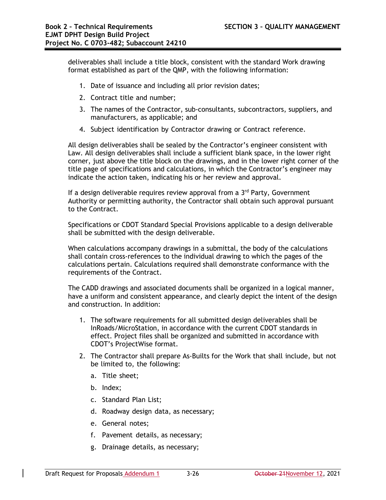deliverables shall include a title block, consistent with the standard Work drawing format established as part of the QMP, with the following information:

- 1. Date of issuance and including all prior revision dates;
- 2. Contract title and number;
- 3. The names of the Contractor, sub-consultants, subcontractors, suppliers, and manufacturers, as applicable; and
- 4. Subject identification by Contractor drawing or Contract reference.

All design deliverables shall be sealed by the Contractor's engineer consistent with Law. All design deliverables shall include a sufficient blank space, in the lower right corner, just above the title block on the drawings, and in the lower right corner of the title page of specifications and calculations, in which the Contractor's engineer may indicate the action taken, indicating his or her review and approval.

If a design deliverable requires review approval from a  $3<sup>rd</sup>$  Party, Government Authority or permitting authority, the Contractor shall obtain such approval pursuant to the Contract.

Specifications or CDOT Standard Special Provisions applicable to a design deliverable shall be submitted with the design deliverable.

When calculations accompany drawings in a submittal, the body of the calculations shall contain cross-references to the individual drawing to which the pages of the calculations pertain. Calculations required shall demonstrate conformance with the requirements of the Contract.

The CADD drawings and associated documents shall be organized in a logical manner, have a uniform and consistent appearance, and clearly depict the intent of the design and construction. In addition:

- 1. The software requirements for all submitted design deliverables shall be InRoads/MicroStation, in accordance with the current CDOT standards in effect. Project files shall be organized and submitted in accordance with CDOT's ProjectWise format.
- 2. The Contractor shall prepare As-Builts for the Work that shall include, but not be limited to, the following:
	- a. Title sheet;
	- b. Index;
	- c. Standard Plan List;
	- d. Roadway design data, as necessary;
	- e. General notes;
	- f. Pavement details, as necessary;
	- g. Drainage details, as necessary;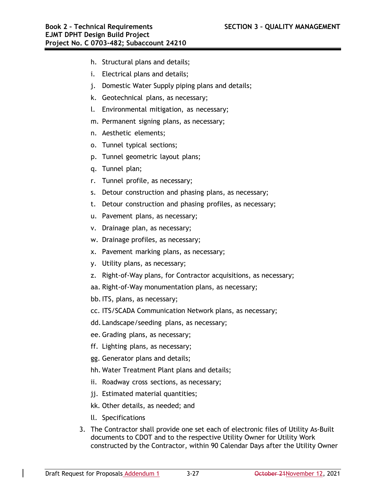- h. Structural plans and details;
- i. Electrical plans and details;
- j. Domestic Water Supply piping plans and details;
- k. Geotechnical plans, as necessary;
- l. Environmental mitigation, as necessary;
- m. Permanent signing plans, as necessary;
- n. Aesthetic elements;
- o. Tunnel typical sections;
- p. Tunnel geometric layout plans;
- q. Tunnel plan;
- r. Tunnel profile, as necessary;
- s. Detour construction and phasing plans, as necessary;
- t. Detour construction and phasing profiles, as necessary;
- u. Pavement plans, as necessary;
- v. Drainage plan, as necessary;
- w. Drainage profiles, as necessary;
- x. Pavement marking plans, as necessary;
- y. Utility plans, as necessary;
- z. Right-of-Way plans, for Contractor acquisitions, as necessary;
- aa. Right-of-Way monumentation plans, as necessary;
- bb.ITS, plans, as necessary;
- cc. ITS/SCADA Communication Network plans, as necessary;
- dd. Landscape/seeding plans, as necessary;
- ee. Grading plans, as necessary;
- ff. Lighting plans, as necessary;
- gg. Generator plans and details;
- hh. Water Treatment Plant plans and details;
- ii. Roadway cross sections, as necessary;
- jj. Estimated material quantities;
- kk. Other details, as needed; and
- ll. Specifications
- 3. The Contractor shall provide one set each of electronic files of Utility As-Built documents to CDOT and to the respective Utility Owner for Utility Work constructed by the Contractor, within 90 Calendar Days after the Utility Owner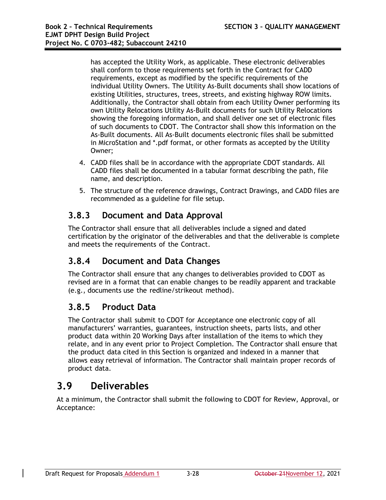has accepted the Utility Work, as applicable. These electronic deliverables shall conform to those requirements set forth in the Contract for CADD requirements, except as modified by the specific requirements of the individual Utility Owners. The Utility As-Built documents shall show locations of existing Utilities, structures, trees, streets, and existing highway ROW limits. Additionally, the Contractor shall obtain from each Utility Owner performing its own Utility Relocations Utility As-Built documents for such Utility Relocations showing the foregoing information, and shall deliver one set of electronic files of such documents to CDOT. The Contractor shall show this information on the As-Built documents. All As-Built documents electronic files shall be submitted in MicroStation and \*.pdf format, or other formats as accepted by the Utility Owner;

- 4. CADD files shall be in accordance with the appropriate CDOT standards. All CADD files shall be documented in a tabular format describing the path, file name, and description.
- 5. The structure of the reference drawings, Contract Drawings, and CADD files are recommended as a guideline for file setup.

## **3.8.3 Document and Data Approval**

The Contractor shall ensure that all deliverables include a signed and dated certification by the originator of the deliverables and that the deliverable is complete and meets the requirements of the Contract.

## **3.8.4 Document and Data Changes**

The Contractor shall ensure that any changes to deliverables provided to CDOT as revised are in a format that can enable changes to be readily apparent and trackable (e.g., documents use the redline/strikeout method).

### **3.8.5 Product Data**

The Contractor shall submit to CDOT for Acceptance one electronic copy of all manufacturers' warranties, guarantees, instruction sheets, parts lists, and other product data within 20 Working Days after installation of the items to which they relate, and in any event prior to Project Completion. The Contractor shall ensure that the product data cited in this Section is organized and indexed in a manner that allows easy retrieval of information. The Contractor shall maintain proper records of product data.

# **3.9 Deliverables**

At a minimum, the Contractor shall submit the following to CDOT for Review, Approval, or Acceptance: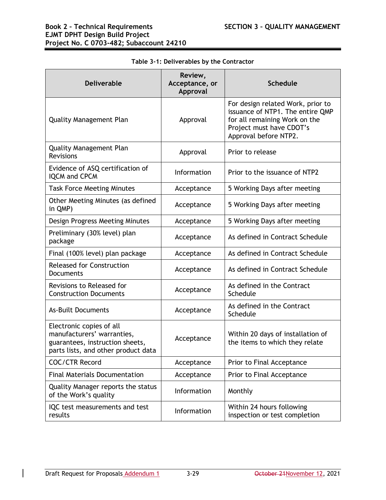| <b>Deliverable</b>                                                                                                               | Review,<br>Acceptance, or<br>Approval | <b>Schedule</b>                                                                                                                                             |
|----------------------------------------------------------------------------------------------------------------------------------|---------------------------------------|-------------------------------------------------------------------------------------------------------------------------------------------------------------|
| <b>Quality Management Plan</b>                                                                                                   | Approval                              | For design related Work, prior to<br>issuance of NTP1. The entire QMP<br>for all remaining Work on the<br>Project must have CDOT's<br>Approval before NTP2. |
| <b>Quality Management Plan</b><br>Revisions                                                                                      | Approval                              | Prior to release                                                                                                                                            |
| Evidence of ASQ certification of<br><b>IQCM and CPCM</b>                                                                         | Information                           | Prior to the issuance of NTP2                                                                                                                               |
| <b>Task Force Meeting Minutes</b>                                                                                                | Acceptance                            | 5 Working Days after meeting                                                                                                                                |
| Other Meeting Minutes (as defined<br>in QMP)                                                                                     | Acceptance                            | 5 Working Days after meeting                                                                                                                                |
| Design Progress Meeting Minutes                                                                                                  | Acceptance                            | 5 Working Days after meeting                                                                                                                                |
| Preliminary (30% level) plan<br>package                                                                                          | Acceptance                            | As defined in Contract Schedule                                                                                                                             |
| Final (100% level) plan package                                                                                                  | Acceptance                            | As defined in Contract Schedule                                                                                                                             |
| <b>Released for Construction</b><br>Documents                                                                                    | Acceptance                            | As defined in Contract Schedule                                                                                                                             |
| Revisions to Released for<br><b>Construction Documents</b>                                                                       | Acceptance                            | As defined in the Contract<br>Schedule                                                                                                                      |
| <b>As-Built Documents</b>                                                                                                        | Acceptance                            | As defined in the Contract<br>Schedule                                                                                                                      |
| Electronic copies of all<br>manufacturers' warranties,<br>guarantees, instruction sheets,<br>parts lists, and other product data | Acceptance                            | Within 20 days of installation of<br>the items to which they relate                                                                                         |
| <b>COC/CTR Record</b>                                                                                                            | Acceptance                            | Prior to Final Acceptance                                                                                                                                   |
| <b>Final Materials Documentation</b>                                                                                             | Acceptance                            | Prior to Final Acceptance                                                                                                                                   |
| Quality Manager reports the status<br>of the Work's quality                                                                      | Information                           | Monthly                                                                                                                                                     |
| IQC test measurements and test<br>results                                                                                        | Information                           | Within 24 hours following<br>inspection or test completion                                                                                                  |

### **Table 3-1: Deliverables by the Contractor**